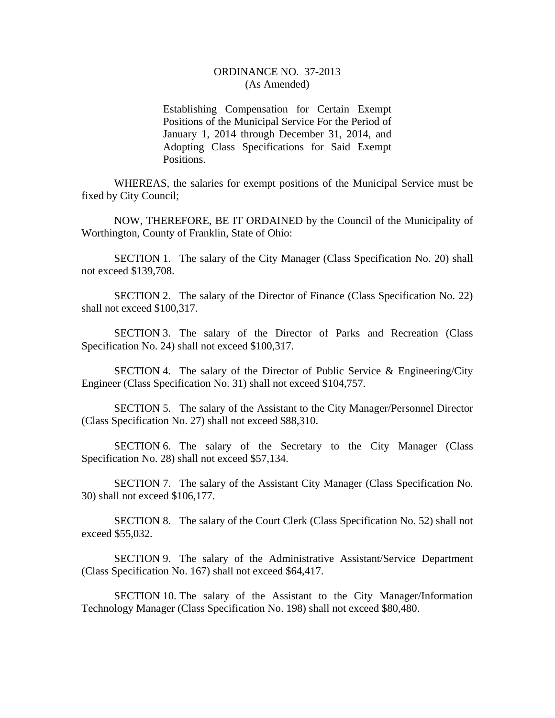## ORDINANCE NO. 37-2013 (As Amended)

Establishing Compensation for Certain Exempt Positions of the Municipal Service For the Period of January 1, 2014 through December 31, 2014, and Adopting Class Specifications for Said Exempt Positions.

WHEREAS, the salaries for exempt positions of the Municipal Service must be fixed by City Council;

NOW, THEREFORE, BE IT ORDAINED by the Council of the Municipality of Worthington, County of Franklin, State of Ohio:

SECTION 1. The salary of the City Manager (Class Specification No. 20) shall not exceed \$139,708.

SECTION 2. The salary of the Director of Finance (Class Specification No. 22) shall not exceed \$100,317.

SECTION 3. The salary of the Director of Parks and Recreation (Class Specification No. 24) shall not exceed \$100,317.

SECTION 4. The salary of the Director of Public Service & Engineering/City Engineer (Class Specification No. 31) shall not exceed \$104,757.

SECTION 5. The salary of the Assistant to the City Manager/Personnel Director (Class Specification No. 27) shall not exceed \$88,310.

SECTION 6. The salary of the Secretary to the City Manager (Class Specification No. 28) shall not exceed \$57,134.

SECTION 7. The salary of the Assistant City Manager (Class Specification No. 30) shall not exceed \$106,177.

SECTION 8. The salary of the Court Clerk (Class Specification No. 52) shall not exceed \$55,032.

SECTION 9. The salary of the Administrative Assistant/Service Department (Class Specification No. 167) shall not exceed \$64,417.

SECTION 10. The salary of the Assistant to the City Manager/Information Technology Manager (Class Specification No. 198) shall not exceed \$80,480.